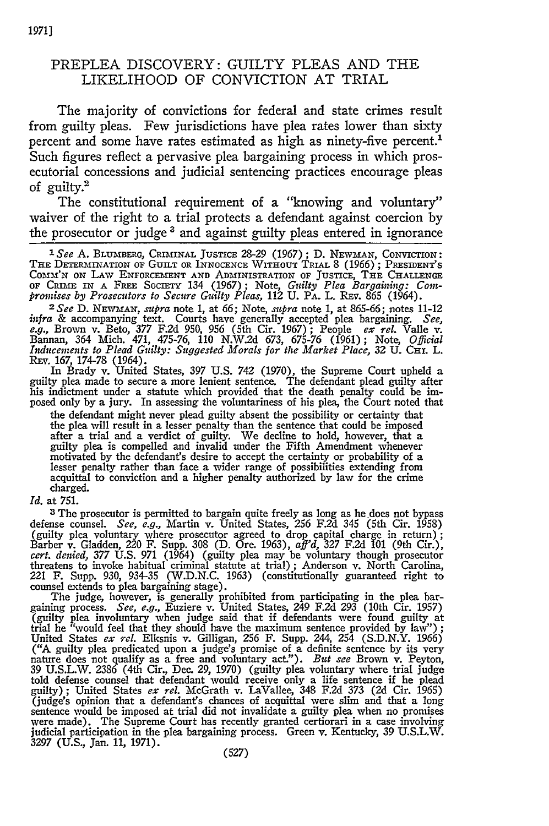## PREPLEA DISCOVERY: GUILTY PLEAS AND THE LIKELIHOOD OF CONVICTION AT TRIAL

The majority of convictions for federal and state crimes result from guilty pleas. Few jurisdictions have plea rates lower than sixty percent and some have rates estimated as high as ninety-five percent.<sup>1</sup> Such figures reflect a pervasive plea bargaining process in which prosecutorial concessions and judicial sentencing practices encourage pleas of guilty.<sup>2</sup>

The constitutional requirement of a "knowing and voluntary" waiver of the right to a trial protects a defendant against coercion **by** the prosecutor or judge **3** and against guilty pleas entered in ignorance

**1See A. BLUMBERG,** CRIMINAL JUSTICE 28-29 (1967); **D.** NEWMAN, CONVICTION: THE **DETERMINATION** OF GUILT OR **INNOCENCE** WITHOUT TRIAL 8 (1966); PRESIDENT'S CoMm'N ON LAW **ENFORCEMFENT** AND **ADMINISTRATION OF JUSTICE,** THE **CHALLENGE** OF CRIME **IN** A FREE SocETry 134 (1967); Note, *Guilty Plea Bargaining:* Com*promises by Prosecutors to Secure Guilty Pleas,* 112 U. PA. L. REv. 865 (1964). *<sup>2</sup> See* D. *NEWMAN, supra* note 1, at 66; Note, *supra* note 1, at 865-66; notes 11-12

infra & accompanying text. Courts have generally accepted plea bargaining. See, e.g., Brown v. Beto, 377 F.2d 950, 956 (5th Cir. 1967); People ex rel. Valle v. Bannan, 364 Mich. 471, 475-76, 110 N.W.2d 673, 675-76 (1961); *Inducements to Plead Guilty: Suggested Morals for the Market Place, 32 U. CHI. L.* 

REV. 167, 174-78 (1964).<br>In Brady v. United States, 397 U.S. 742 (1970), the Supreme Court upheld a<br>guilty plea made to secure a more lenient sentence. The defendant plead guilty after his indictment under a statute which provided that the death penalty could be imposed only by a jury. In assessing the voluntariness of his plea, the Court noted that

the defendant might never plead guilty absent the possibility or certainty that the plea will result in a lesser penalty than the sentence that could be imposed after a trial and a verdict of guilty. We decline to hold, however, that a guilty plea is compelled and invalid under the Fifth Amendment whenever motivated **by** the defendant's desire to accept the certainty or probability of a lesser penalty rather than face a wider range of possibilities extending from acquittal to conviction and a higher penalty authorized **by** law for the crime charged.

*Id.* at **751.**

**3** The prosecutor is permitted to bargain quite freely as long as he does not bypass defense counsel. *See, e.g.,* Martin v. United States, *256* F.2d 345 (5th Cir. 1958) (guilty plea voluntary where prosecutor agreed to drop capital charge in return); Barber v. Gladden, 220 F. Supp. 308 **(D.** Ore. 1963), *aff'd,* **327 F.2d** 101 (9th Cir.), *cert. denied, 377* **U.S. 971** (1964) (guilty plea may be voluntary though prosecutor threatens to invoke habitual criminal statute at trial) ; Anderson v. North Carolina, 221 F. Supp. 930, 934-35 **(W.D.N.C.** 1963) (constitutionally guaranteed right to counsel extends to plea bargaining stage).

The judge, however, is generally prohibited from participating in the plea bargaining process. *See, e.g.,* Euziere v. United States, 249 **F.2d 293** (10th Cir. 1957) (guilty plea involuntary when judge said that if defendants were found guilty at trial he "would feel that they should have the maximum sentence provided by law"); United States *ex rel.* Elksnis v. Gilligan, 256 F. Supp. ("A guilty plea predicated upon a judge's promise of a definite sentence **by** its very nature does not qualify as a free and voluntary act."). *But see* Brown v. Peyton, 39 U.S.L.W. 2386 (4th Cir., Dec. 29, 1970) (guilty plea voluntary where trial judge told defense counsel that defendant would receive only a life sentence if he plead guilty); United States *ex rel.* McGrath v. LaVallee, (judge's opinion that a defendant's chances of acquittal were slim and that a long sentence would be imposed at trial did not invalidate a guilty plea when no promises were made). The Supreme Court has recently granted certiorari in a case involving judicial participation in the plea bargaining process. Green v. Kentucky, 39 U.S.L.W. **3297** (U.S., Jan. **11, 1971).**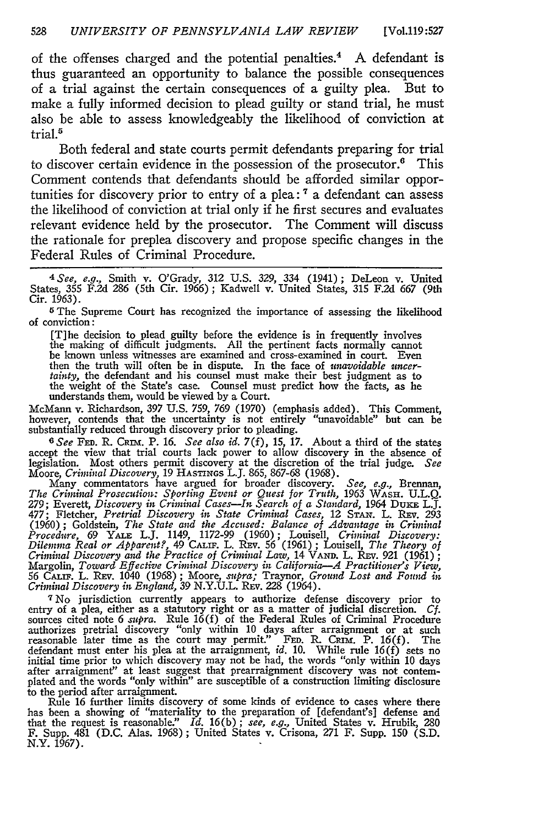of the offenses charged and the potential penalties.<sup>4</sup> A defendant is thus guaranteed an opportunity to balance the possible consequences of a trial against the certain consequences of a guilty plea. But to make a fully informed decision to plead guilty or stand trial, he must also be able to assess knowledgeably the likelihood of conviction at trial.<sup>5</sup>

Both federal and state courts permit defendants preparing for trial to discover certain evidence in the possession of the prosecutor.<sup>6</sup> This Comment contends that defendants should be afforded similar opportunities for discovery prior to entry of a plea: **7** a defendant can assess the likelihood of conviction at trial only if he first secures and evaluates relevant evidence held **by** the prosecutor. The Comment will discuss the rationale for preplea discovery and propose specific changes in the Federal Rules of Criminal Procedure.

*<sup>4</sup> See, e.g.,* Smith **v.** O'Grady, 312 U.S. 329, 334 (1941); DeLeon v. United States, 355 F.2d *286* (5th Cir. 1966); Kadwell v. United States, **315** F.2d 667 (9th Cir. 1963).

**<sup>5</sup>**The Supreme Court has recognized the importance of assessing the likelihood of conviction:

[T]he decision to plead guilty before the evidence is in frequently involves the making of difficult judgments. All the pertinent facts normally cannot be known unless witnesses are examined and cross-examined in court. Even then the truth will often be in dispute. In the face of *unavoidable uncer-tainty,* the defendant and his counsel must make their best judgment as to the weight of the State's case. Counsel must predict how the facts, as he understands them, would be viewed by a Court.

McMann v. Richardson, 397 U.S. 759, 769 (1970) (emphasis added). This Comment, however, contends that the uncertainty is not entirely "unavoidable" but can be substantially reduced through discovery prior to pleading.

*6 See* **FED.** R. *CRnm.* P. **16.** *See also id.* **7(f), 15, 17.** About a third of the states accept the view that trial courts lack power to allow discovery in the absence of legislation. Most others permit discovery at the discretion of the trial judge. *See* Moore, *Criminal Discovery*, 19 HASTINGS L.J. 865, 867-68 (1968).<br>Many commentators have argued for broader discovery. *See, e.g.*, Brennan,

*The Criminal Prosecution: Sporting Event or Quest for Truth,* 1963 **WAsH. U.L.Q.** 279; Everett, *Discovery in Criminal Cases-In Search of a Standard,* 1964 Duam L.J. 477; Fletcher, *Pretrial Discovery in State Criminal Cases,* 12 **STAN.** L. REv. *293* (1960) ; Goldstein, *The State and the Accused: Balance of Advantage in Criminal Procedure,* 69 YALE L.J. 1149, 1172-99 (1960) ; Louisell, *Criminal Discovery: Dilemma Real or Apparent?,* 49 CALIF. L. **REv.** 56 (1961) ; Louisell, *The Theory of Criminal Discovery and the Practice of Criminal Law,* 14 **VAND.** L. REv. **921** (1961); Margolin, *Toward Effective Criminal Discovery in California-A Practitioner's View,* 56 CALIF. L. REv. 1040 (1968) ; Moore, *supra;* Traynor, *Ground Lost and Found in Criminal Discovery in England, 39* N.Y.U.L. REv. *228* (1964).

*"* No jurisdiction currently appears to authorize defense discovery prior to entry of a plea, either as a statutory right or as a matter of judicial discretion. Cf.<br>sources cited note 6 *supra*. Rule 16(f) of the Federal Rules of Criminal Procedure<br>authorizes pretrial discovery "only within 10 days defendant must enter his plea at the arraignment, *id.* 10. While rule 16(f) sets no initial time prior to which discovery may not be had, the words "only within 10 days<br>after arraignment" at least suggest that prearraignment discovery was not contem-<br>plated and the words "only within" are susceptible of a to the period after arraignment.

Rule 16 further limits discovery of some kinds of evidence to cases where there has been a showing of "materiality to the preparation of [defendant's] defense and that the request is reasonable." Id. 16(b); see, e.g., Unit F. Supp. 481 (D.C. Alas. 1968); United States v. Crisona, 271 F. Supp. 150 (S.D. N.Y. 1967).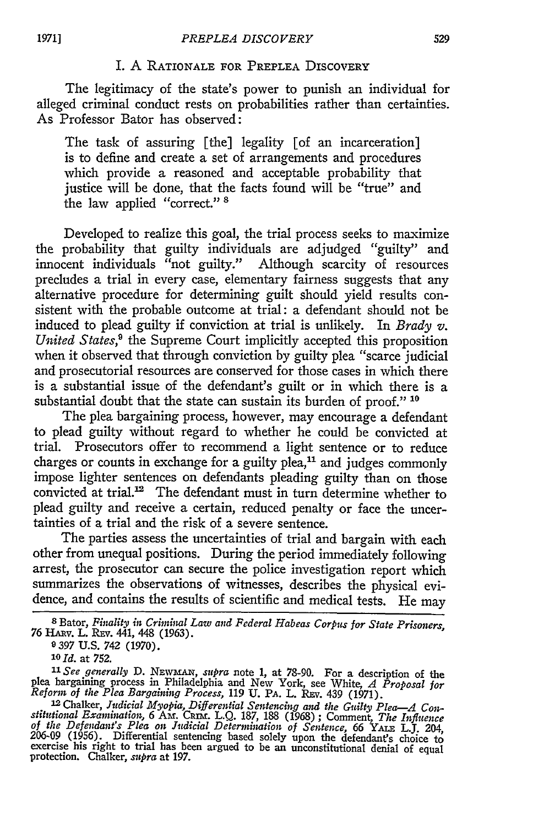## I. A RATIONALE FOR PREPLEA DISCOVERY

The legitimacy of the state's power to punish an individual for alleged criminal conduct rests on probabilities rather than certainties. As Professor Bator has observed:

The task of assuring [the] legality [of an incarceration] is to define and create a set of arrangements and procedures which provide a reasoned and acceptable probability that justice will be done, that the facts found will be "true" and the law applied "correct." **<sup>8</sup>**

Developed to realize this goal, the trial process seeks to maximize the probability that guilty individuals are adjudged "guilty" and innocent individuals "not guilty." Although scarcity of resources precludes a trial in every case, elementary fairness suggests that any alternative procedure for determining guilt should yield results consistent with the probable outcome at trial: a defendant should not be induced to plead guilty if conviction at trial is unlikely. In *Brady v. United States*,<sup>9</sup> the Supreme Court implicitly accepted this proposition when it observed that through conviction by guilty plea "scarce judicial and prosecutorial resources are conserved for those cases in which there is a substantial issue of the defendant's guilt or in which there is a substantial doubt that the state can sustain its burden of proof." **1o**

The plea bargaining process, however, may encourage a defendant to plead guilty without regard to whether he could be convicted at trial. Prosecutors offer to recommend a light sentence or to reduce charges or counts in exchange for a guilty plea, $11$  and judges commonly impose lighter sentences on defendants pleading guilty than on those convicted at trial.<sup>12</sup> The defendant must in turn determine whether to plead guilty and receive a certain, reduced penalty or face the uncertainties of a trial and the risk of a severe sentence.

The parties assess the uncertainties of trial and bargain with each other from unequal positions. During the period immediately following arrest, the prosecutor can secure the police investigation report which summarizes the observations of witnesses, describes the physical evidence, and contains the results of scientific and medical tests. He may

*"1 See generally* **D.** NEwMAx, *supra* note **1,** at 78-90. For a description of the plea bargaining process in Philadelphia and New York, see White, *A Proposal for Reform of the Plea Bargaining Process,* 119 U. PA. L. REv. 439 (1971). 1 <sup>2</sup> Chalker, *Judicial Myopia, Differential Sentencing and the Guilty Plea-A Con-*

**<sup>8</sup>** Bator, *Fiality in Criminal Law and Federal Habeas Corpus for State Prisoners,* **76** HA{v. L. REv. 441, 448 (1963).

<sup>9397</sup> U.S. 742 (1970).

*lo Id.* at **752.**

stitutional Examination, 6 AM. CRIM. L.Q. 187, 188 (1968); Comment, The Influence<br>of the Defendant's Plea on Judicial Determination of Sentence, 66 YALE L.J.<br>206-09 (1956). Differential sentencing based solely upon the def exercise his right to trial has been argued to be an unconstitutional denial of equal protection. Chalker, *supra* at 197.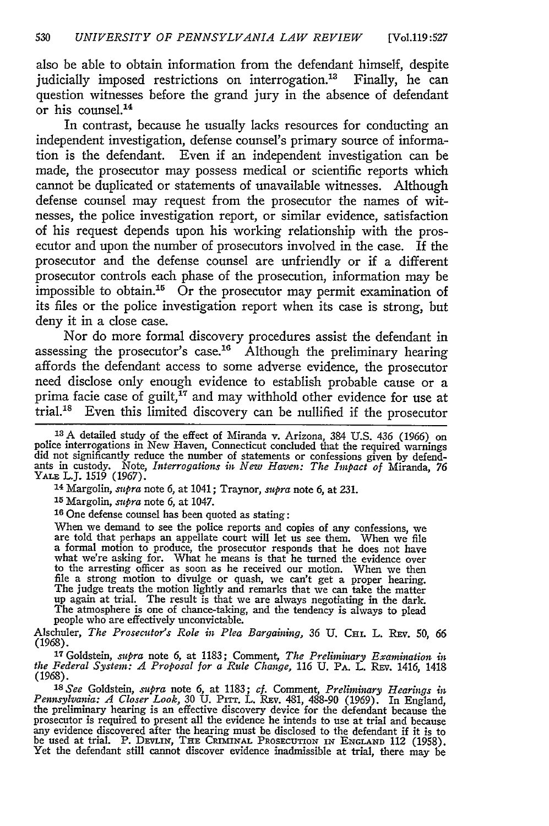also be able to obtain information from the defendant himself, despite judicially imposed restrictions on interrogation.<sup>13</sup> Finally, he can question witnesses before the grand jury in the absence of defendant or his counsel.<sup>14</sup>

In contrast, because he usually lacks resources for conducting an independent investigation, defense counsel's primary source of information is the defendant. Even if an independent investigation can be made, the prosecutor may possess medical or scientific reports which cannot be duplicated or statements of unavailable witnesses. Although defense counsel may request from the prosecutor the names of witnesses, the police investigation report, or similar evidence, satisfaction of his request depends upon his working relationship with the prosecutor and upon the number of prosecutors involved in the case. **If** the prosecutor and the defense counsel are unfriendly or if a different prosecutor controls each phase of the prosecution, information may be impossible to obtain.<sup>15</sup> Or the prosecutor may permit examination of its files or the police investigation report when its case is strong, but deny it in a close case.

Nor do more formal discovery procedures assist the defendant in assessing the prosecutor's case.<sup>16</sup> Although the preliminary hearing affords the defendant access to some adverse evidence, the prosecutor need disclose only enough evidence to establish probable cause or a prima facie case of guilt,<sup>17</sup> and may withhold other evidence for use at trial. 8 Even this limited discovery can be nullified if the prosecutor

<sup>13</sup> A detailed study of the effect of Miranda v. Arizona, 384 U.S. 436 (1966) on police interrogations in New Haven, Connecticut concluded that the required warnings did not significantly reduce the number of statements YALE L.J. 1519 (1967).

**14** Margolin, *supra* note 6, at 1041; Traynor, supra note *6,* at 231.

**'5** Margolin, *supra* note 6, at 1047.

**<sup>16</sup>**One defense counsel has been quoted as stating:

When we demand to see the police reports and copies of any confessions, we are told that perhaps an appellate court will let us see them. When we file a formal motion to produce, the prosecutor responds that he does not ha what we're asking for. What he means is that he turned the evidence over to the arresting officer as soon as he received our motion. When we then file a strong motion to divulge or quash, we can't get a proper hearing. The judge treats the motion lightly and remarks that we can take the matter up again at trial. The result is that we are always negotiating in the dark. The atmosphere is one of chance-taking, and the tendency is always to plead people who are effectively unconvictable.

Alschuler, The Prosecutor's Role in Plea Bargaining, 36 U. CHI. L. REV. 50, 66 (1968).

<sup>17</sup> Goldstein, *supra* note 6, at 1183; Comment, *The Preliminary Examination in*<br> *the Federal System: A Proposal for a Rule Change*, 116 U. PA, L. REv. 1416, 1418 (1968).

*' <sup>3</sup> See* Goldstein, *.supra* note 6, at 1183; *cf.* Comment, *Preliminary Hearings in* Pennsylvania: A Closer Look, 30 U. PITT. L. REV. 481, 488-90 (1969). In England,<br>the preliminary hearing is an effective discovery device for the defendant because the<br>prosecutor is required to present all the evidence he any evidence discovered after the hearing must be disclosed to the defendant if it is to<br>be used at trial. P. DEVLIN, THE CRIMINAL PROSECUTION IN ENGLAND 112 (1958).<br>Yet the defendant still cannot discover evidence inadmis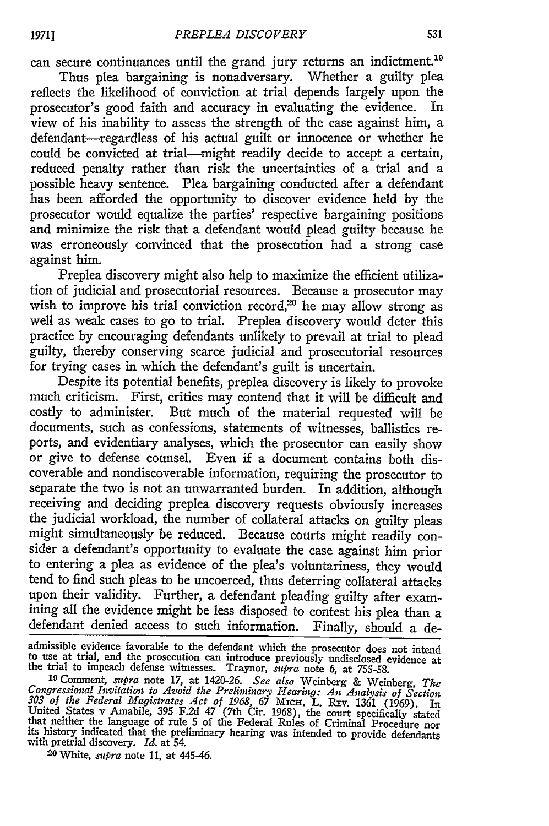can secure continuances until the grand jury returns an indictment.<sup>19</sup> Thus plea bargaining is nonadversary. Whether a guilty plea

reflects the likelihood of conviction at trial depends largely upon the prosecutor's good faith and accuracy in evaluating the evidence. In view of his inability to assess the strength of the case against him, a defendant-regardless of his actual guilt or innocence or whether he could be convicted at trial-might readily decide to accept a certain, reduced penalty rather than risk the uncertainties of a trial and a possible heavy sentence. Plea bargaining conducted after a defendant has been afforded the opportunity to discover evidence held by the prosecutor would equalize the parties' respective bargaining positions and minimize the risk that a defendant would plead guilty because he was erroneously convinced that the prosecution had a strong case against him.

Preplea discovery might also help to maximize the efficient utilization of judicial and prosecutorial resources. Because a prosecutor may wish to improve his trial conviction record,<sup>20</sup> he may allow strong as well as weak cases to go to trial. Preplea discovery would deter this practice by encouraging defendants unlikely to prevail at trial to plead guilty, thereby conserving scarce judicial and prosecutorial resources for trying cases in which the defendant's guilt is uncertain.

Despite its potential benefits, preplea discovery is likely to provoke much criticism. First, critics may contend that it will be difficult and costly to administer. But much of the material requested will be documents, such as confessions, statements of witnesses, ballistics reports, and evidentiary analyses, which the prosecutor can easily show or give to defense counsel. Even if a document contains both discoverable and nondiscoverable information, requiring the prosecutor to separate the two is not an unwarranted burden. In addition, although receiving and deciding preplea discovery requests obviously increases the judicial workload, the number of collateral attacks on guilty pleas might simultaneously be reduced. Because courts might readily consider a defendant's opportunity to evaluate the case against him prior to entering a plea as evidence of the plea's voluntariness, they would tend to find such pleas to be uncoerced, thus deterring collateral attacks upon their validity. Further, a defendant pleading guilty after examining all the evidence might be less disposed to contest his plea than a defendant denied access to such information. Finally, should a de-

admissible evidence favorable to the defendant which the prosecutor does not intend to use at trial, and the prosecution can introduce previously undisclosed evidence at the trial to impeach defense witnesses. Traynor, *supra* note 6, at 755-58.

*<sup>19</sup>*Comment, *supra* note 17, at 1420-26. *See also* Weinberg & Weinberg, *The Congressional Invitation to Avoid the Preliminary Hearing: An Analysis of Section* 303 of the Federal Magistrates Act of 1968, 67 Michael B. REv. 1361 (1969). In<br>303 of the Federal Magistrates Act of 1968, 67 Mich. L. REv. 1361 (1969).<br>United States v Amabile, 395 F.2d 47 (7th Cir. 1968), the court speci that neither the language of rule 5 of the Federal Rules of Criminal Procedure nor<br>that neither the language of rule 5 of the Federal Rules of Criminal Procedure nor<br>its history indicated that the preliminary hearing was i its history indicated that the preliminary hearing was intended to provide defendants with pretrial discovery. *Id.* at 54.

20 White, *supra* note 11, at 445-46.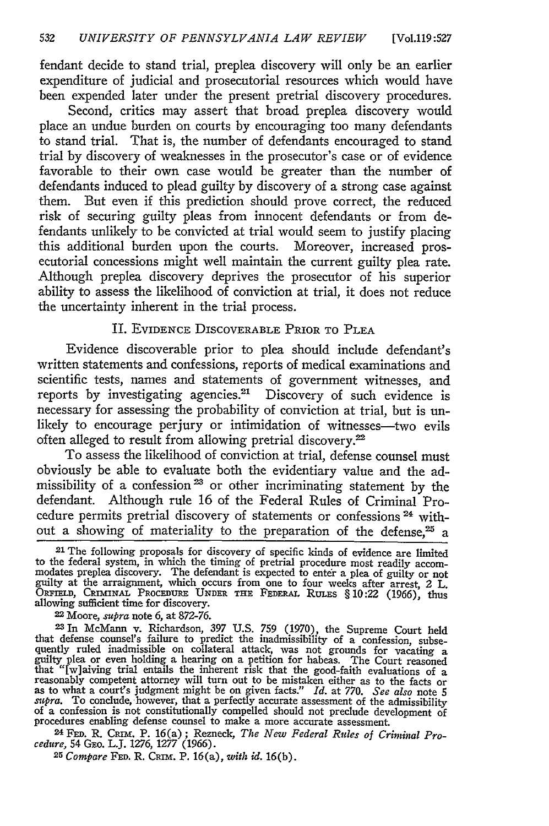fendant decide to stand trial, preplea discovery will only be an earlier expenditure of judicial and prosecutorial resources which would have been expended later under the present pretrial discovery procedures.

Second, critics may assert that broad preplea discovery would place an undue burden on courts by encouraging too many defendants to stand trial. That is, the number of defendants encouraged to stand trial by discovery of weaknesses in the prosecutor's case or of evidence favorable to their own case would be greater than the number of defendants induced to plead guilty by discovery of a strong case against them. But even if this prediction should prove correct, the reduced risk of securing guilty pleas from innocent defendants or from defendants unlikely to be convicted at trial would seem to justify placing this additional burden upon the courts. Moreover, increased prosecutorial concessions might well maintain the current guilty plea rate. Although preplea discovery deprives the prosecutor of his superior ability to assess the likelihood of conviction at trial, it does not reduce the uncertainty inherent in the trial process.

## II. EVIDENCE DISCOVERABLE PRIOR TO **PLEA**

Evidence discoverable prior to plea should include defendant's written statements and confessions, reports of medical examinations and scientific tests, names and statements of government witnesses, and reports by investigating agencies.<sup>21</sup> Discovery of such evidence is necessary for assessing the probability of conviction at trial, but is unlikely to encourage perjury or intimidation of witnesses—two evils often alleged to result from allowing pretrial discovery.<sup>22</sup>

To assess the likelihood of conviction at trial, defense counsel must obviously be able to evaluate both the evidentiary value and the admissibility of a confession<sup>23</sup> or other incriminating statement by the defendant. Although rule 16 of the Federal Rules of Criminal Procedure permits pretrial discovery of statements or confessions **24** without a showing of materiality to the preparation of the defense,<sup>25</sup> a

<sup>2</sup> 1 The following proposals for discovery of specific kinds of evidence are limited to the federal system, in which the timing of pretrial procedure most readily accom- modates preplea discovery. The defendant is expected to enter a plea of guilty or not guilty at the arraignment, which occurs from one to four weeks after arrest, 2 L. ORFIELD, **CRIMINAL** PROCEDURE **UNDER THE FEDERAL RULES** § 10:22 (1966), thus allowing sufficient time for discovery.<br>
<sup>22</sup> Moore, *supra* note 6, at 872-76.<br>
<sup>23</sup> In McMann v. Richardson, 397 U.S. 759 (1970), the Supreme Court held

that defense counsel's failure to predict the inadmissibility of a confession, subsequently ruled inadmissible on collateral attack, was not grounds for vacating a guilty plea or even holding a hearing on a petition for habeas. The Court reasoned  $\frac{d}{dx}$  in  $\frac{d}{dx}$  is the inherent risk that the good-faith evaluations of a<br>reasonably competent attorney will turn out to be mistaken either as to the facts or<br>as to what a court's judgment might be on given facts." supra. To conclude, however, that a perfectly accurate assessment of the admissibility<br>of a confession is not constitutionally compelled should not preclude development of<br>procedures enabling defense counsel to make a more

**24 FED.** R. *Cxmx.* P. 16(a); Rezneck, *The New Federal Rules of Criminal Procedure,* 54 GEo. LJ. **1276, 1277** (1966).

*25 Compare* **FED.** R. CRni. P. 16(a), *with id.* **16(b).**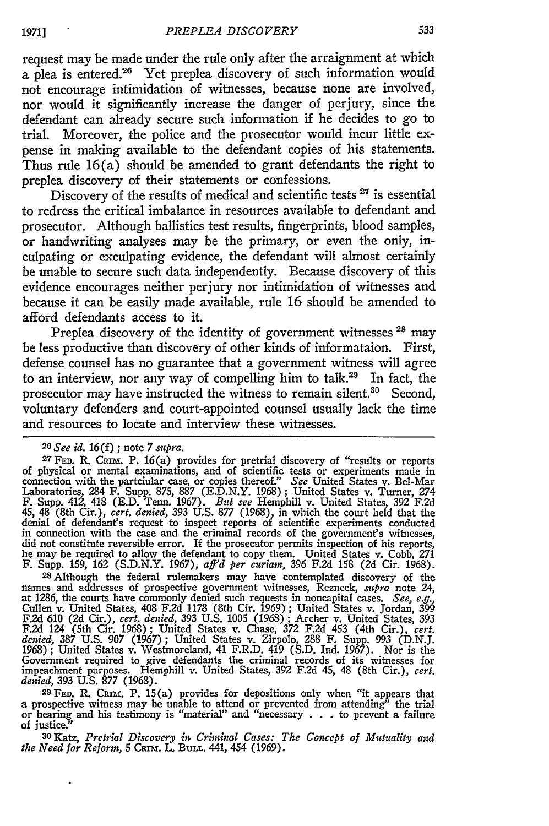request may be made under the rule only after the arraignment at which a plea is entered.<sup>26</sup> Yet preplea discovery of such information would not encourage intimidation of witnesses, because none are involved, nor would it significantly increase the danger of perjury, since the defendant can already secure such information if he decides to go to trial. Moreover, the police and the prosecutor would incur little expense in making available to the defendant copies of his statements. Thus rule  $16(a)$  should be amended to grant defendants the right to preplea discovery of their statements or confessions.

Discovery of the results of medical and scientific tests **<sup>27</sup>**is essential to redress the critical imbalance in resources available to defendant and prosecutor. Although ballistics test results, fingerprints, blood samples, or handwriting analyses may be the primary, or even the only, inculpating or exculpating evidence, the defendant will almost certainly be unable to secure such data independently. Because discovery of this evidence encourages neither perjury nor intimidation of witnesses and because it can be easily made available, rule 16 should be amended to afford defendants access to it.

Preplea discovery of the identity of government witnesses<sup>28</sup> may be less productive than discovery of other kinds of informataion. First, defense counsel has no guarantee that a government witness will agree to an interview, nor any way of compelling him to talk.<sup>29</sup> In fact, the prosecutor may have instructed the witness to remain silent.<sup>30</sup> Second, voluntary defenders and court-appointed counsel usually lack the time and resources to locate and interview these witnesses.

28 Although the federal rulemakers may have contemplated discovery of the names and addresses of prospective government witnesses, Rezneck, *supra* note 24, at 1286, the courts have commonly denied such requests in noncapital cases. *See, e.g.,* Cullen v. United States, 408 F.2d 1178 (8th Cir. 1969) ; United States v. Jordan, 399 **F.2d 610** (2d Cir.), *cert. denied,* 393 U.S. **1005** (1968) ; Archer v. United States, 393 F.2d 124 (5th Cir. 1968); United States v. Chase, 372 F.2d 453 (4th Cir.), cert.<br>denied, 387 U.S. 907 (1967); United States v. Zirpolo, 288 F. Supp. 993 (D.N.J.<br>1968); United States v. Westmoreland, 41 F.R.D. 419 (S.D. Ind Government required to give defendants the criminal records of its witnesses for impeachment purposes. Hemphill v. United States, 392 F.2d 45, 48 (8th Cir.), *cert.* denied, 393 U.S. 877 (1968). <sup>2</sup><br><sup>29</sup> FED. R. CRIM. P. 15(a) provides for depositions only when "it appears that

a prospective witness may be unable to attend or prevented from attending" the trial or hearing and his testimony is "material" and "necessary  $\ldots$  to prevent a failure of justice:'

*3o* Katz, *Pretrial Discovery in Criminal Cases: The Concept of Mutuality and the Need for Reform, 5 CRIM. L. BULL. 441, 454 (1969)* 

<sup>26</sup>See *id.* **16(f) ;** note 7 *supra.*

**<sup>27</sup> FED.** K. CRIM. P. 16(a) provides for pretrial discovery of "results or reports of physical or mental examinations, and of scientific tests or experiments made in<br>connection with the partcular case, or copies thereof." See United States v. Bel-Mar<br>Laboratories, 284 F. Supp. 875, 887 (E.D.N.Y. 1968); U in connection with the case and the criminal records of the government's witnesses<br>did not constitute reversible error. If the prosecutor permits inspection of his reports<br>he may be required to allow the defendant to copy F. Supp. 159, 162 (S.D.N.Y. 1967), *aff'd per curiam,* 396 F.2d 158 (2d Cir. 1968).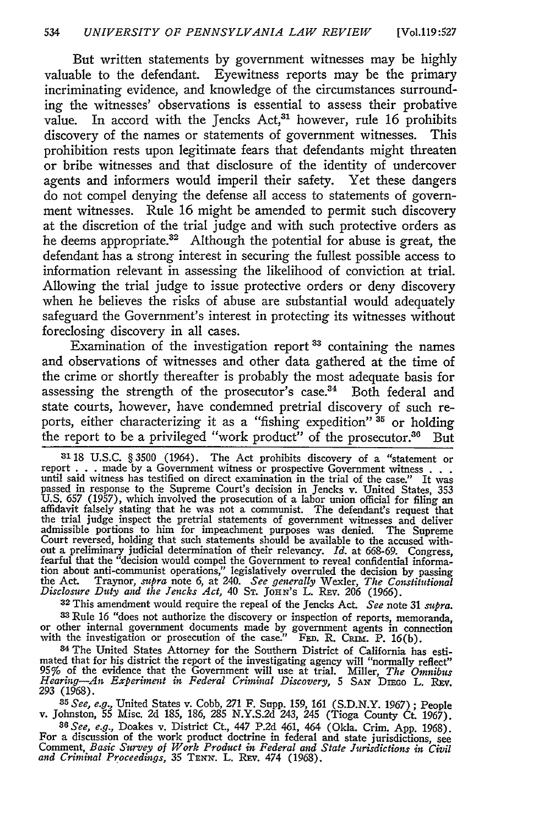But written statements by government witnesses may be highly valuable to the defendant. Eyewitness reports may be the primary incriminating evidence, and knowledge of the circumstances surrounding the witnesses' observations is essential to assess their probative value. In accord with the Jencks Act,<sup>31</sup> however, rule 16 prohibits discovery of the names or statements of government witnesses. This prohibition rests upon legitimate fears that defendants might threaten or bribe witnesses and that disclosure of the identity of undercover agents and informers would imperil their safety. Yet these dangers do not compel denying the defense all access to statements of government witnesses. Rule 16 might be amended to permit such discovery at the discretion of the trial judge and with such protective orders as he deems appropriate.<sup>32</sup> Although the potential for abuse is great, the defendant has a strong interest in securing the fullest possible access to information relevant in assessing the likelihood of conviction at trial. Allowing the trial judge to issue protective orders or deny discovery when he believes the risks of abuse are substantial would adequately safeguard the Government's interest in protecting its witnesses without foreclosing discovery in all cases.

Examination of the investigation report 33 containing the names and observations of witnesses and other data gathered at the time of the crime or shortly thereafter is probably the most adequate basis for assessing the strength of the prosecutor's case.<sup>34</sup> Both federal and state courts, however, have condemned pretrial discovery of such reports, either characterizing it as a "fishing expedition" **35** or holding the report to be a privileged "work product" of the prosecutor.<sup>36</sup> But

 $3118$  U.S.C. § 3500 (1964). The Act prohibits discovery of a "statement or report . . . made by a Government witness or prospective Government witness . . . until said witness has testified on direct examination in the t U.S. 657 (1957), which involved the prosecution of a labor union official for filing an affidavit falsely stating that he was not a communist. The defendant's request that the trial judge inspect the pretrial statements of admissible portions to him for impeachment purposes was denied. The Supreme<br>Court reversed, holding that such statements should be available to the accused with-<br>out a preliminary judicial determination of their relevancy fearful that the "decision would compel the Government to reveal confidential information about anti-communist operations," legislatively overruled the decision by passing the Act. Traynor, *supra* note 6, at 240. *See generally* Wexler, *The Constitutional Disclosure Duty and the Jencks Act,* 40 **ST. JOHN's** L. Rav. *206* (1966).

**32** This amendment would require the repeal of the Jencks Act. *See* note 31 *sutpra.* <sup>33</sup> Rule 16 "does not authorize the discovery or inspection of reports, mencanda<br>or other internal government documents made by government agents in connection<br>with the investigation or prosecution of the case." FED. R.

<sup>34</sup> The United States Attorney for the Southern District of California has estimated that for his district the report of the investigating agency will "normally reflect" 95% of the evidence that the Government will use a **293 (1968).**

*<sup>35</sup>See, e.g.,* United States v. Cobb, 271 F. Supp. 159, 161 **(S.D.N.Y.** 1967) ; People v. Johnston, **55** Misc. 2d 185, 186, 285 N.Y.S.2d 243, 245 (Tioga County Ct. 1967).

*36 See, e.g.,* Doakes v. District Ct., 447 P.2d 461, 464 (Okla. Crim. **App.** 1968). For a discussion of the work product doctrine in federal and state jurisdictions, see<br>Comment, Basic Survey of Work Product in Federal and State Jurisdictions, see<br>and Criminal Proceedings, 35 TENN, L. REV. 474 (1968).